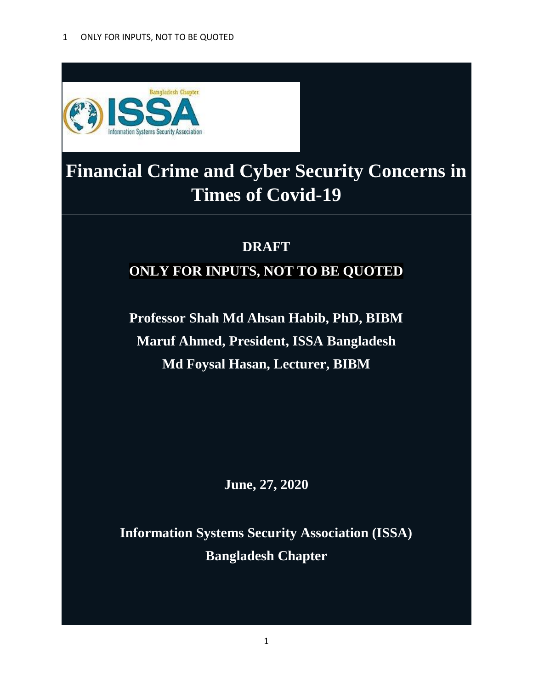

# **Financial Crime and Cyber Security Concerns in Times of Covid-19**

# **DRAFT ONLY FOR INPUTS, NOT TO BE QUOTED**

**Professor Shah Md Ahsan Habib, PhD, BIBM Maruf Ahmed, President, ISSA Bangladesh Md Foysal Hasan, Lecturer, BIBM**

**June, 27, 2020**

**Information Systems Security Association (ISSA) Bangladesh Chapter**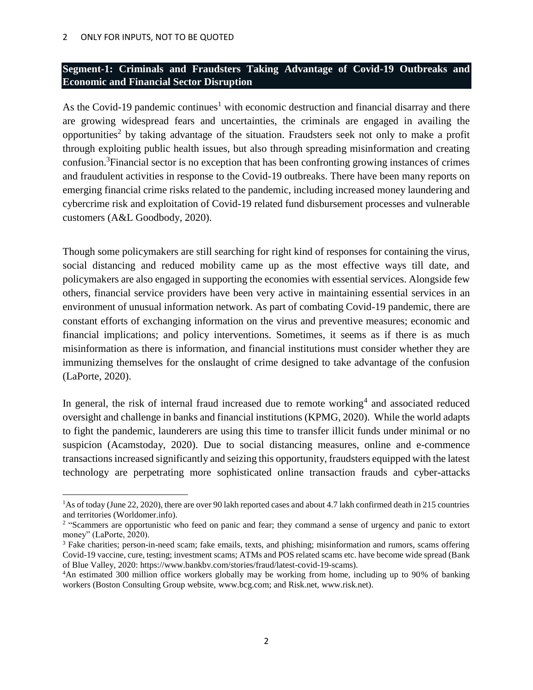### **Segment-1: Criminals and Fraudsters Taking Advantage of Covid-19 Outbreaks and Economic and Financial Sector Disruption**

As the Covid-19 pandemic continues<sup>1</sup> with economic destruction and financial disarray and there are growing widespread fears and uncertainties, the criminals are engaged in availing the opportunities<sup>2</sup> by taking advantage of the situation. Fraudsters seek not only to make a profit through exploiting public health issues, but also through spreading misinformation and creating confusion.<sup>3</sup>Financial sector is no exception that has been confronting growing instances of crimes and fraudulent activities in response to the Covid-19 outbreaks. There have been many reports on emerging financial crime risks related to the pandemic, including increased money laundering and cybercrime risk and exploitation of Covid-19 related fund disbursement processes and vulnerable customers (A&L Goodbody, 2020).

Though some policymakers are still searching for right kind of responses for containing the virus, social distancing and reduced mobility came up as the most effective ways till date, and policymakers are also engaged in supporting the economies with essential services. Alongside few others, financial service providers have been very active in maintaining essential services in an environment of unusual information network. As part of combating Covid-19 pandemic, there are constant efforts of exchanging information on the virus and preventive measures; economic and financial implications; and policy interventions. Sometimes, it seems as if there is as much misinformation as there is information, and financial institutions must consider whether they are immunizing themselves for the onslaught of crime designed to take advantage of the confusion (LaPorte, 2020).

In general, the risk of internal fraud increased due to remote working<sup>4</sup> and associated reduced oversight and challenge in banks and financial institutions (KPMG, 2020). While the world adapts to fight the pandemic, launderers are using this time to transfer illicit funds under minimal or no suspicion (Acamstoday, 2020). Due to social distancing measures, online and e-commence transactions increased significantly and seizing this opportunity, fraudsters equipped with the latest technology are perpetrating more sophisticated online transaction frauds and cyber-attacks

<sup>1</sup>As of today (June 22, 2020), there are over 90 lakh reported cases and about 4.7 lakh confirmed death in 215 countries and territories (Worldomer.info).

<sup>&</sup>lt;sup>2</sup> "Scammers are opportunistic who feed on panic and fear; they command a sense of urgency and panic to extort money" (LaPorte, 2020).

<sup>&</sup>lt;sup>3</sup> Fake charities; person-in-need scam; fake emails, texts, and phishing; misinformation and rumors, scams offering Covid-19 vaccine, cure, testing; investment scams; ATMs and POS related scams etc. have become wide spread (Bank of Blue Valley, 2020: https://www.bankbv.com/stories/fraud/latest-covid-19-scams).

<sup>4</sup>An estimated 300 million office workers globally may be working from home, including up to 90% of banking workers (Boston Consulting Group website, www.bcg.com; and Risk.net, www.risk.net).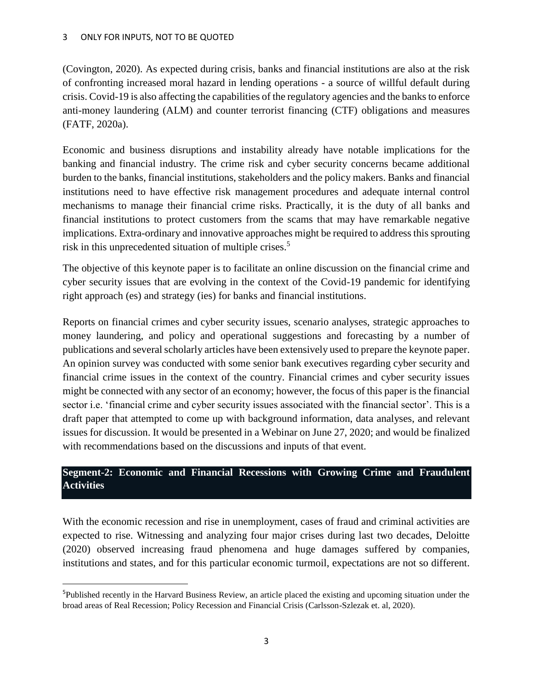(Covington, 2020). As expected during crisis, banks and financial institutions are also at the risk of confronting increased moral hazard in lending operations - a source of willful default during crisis. Covid-19 is also affecting the capabilities of the regulatory agencies and the banks to enforce anti-money laundering (ALM) and counter terrorist financing (CTF) obligations and measures (FATF, 2020a).

Economic and business disruptions and instability already have notable implications for the banking and financial industry. The crime risk and cyber security concerns became additional burden to the banks, financial institutions, stakeholders and the policy makers. Banks and financial institutions need to have effective risk management procedures and adequate internal control mechanisms to manage their financial crime risks. Practically, it is the duty of all banks and financial institutions to protect customers from the scams that may have remarkable negative implications. Extra-ordinary and innovative approaches might be required to address this sprouting risk in this unprecedented situation of multiple crises.<sup>5</sup>

The objective of this keynote paper is to facilitate an online discussion on the financial crime and cyber security issues that are evolving in the context of the Covid-19 pandemic for identifying right approach (es) and strategy (ies) for banks and financial institutions.

Reports on financial crimes and cyber security issues, scenario analyses, strategic approaches to money laundering, and policy and operational suggestions and forecasting by a number of publications and several scholarly articles have been extensively used to prepare the keynote paper. An opinion survey was conducted with some senior bank executives regarding cyber security and financial crime issues in the context of the country. Financial crimes and cyber security issues might be connected with any sector of an economy; however, the focus of this paper is the financial sector i.e. 'financial crime and cyber security issues associated with the financial sector'. This is a draft paper that attempted to come up with background information, data analyses, and relevant issues for discussion. It would be presented in a Webinar on June 27, 2020; and would be finalized with recommendations based on the discussions and inputs of that event.

## **Segment-2: Economic and Financial Recessions with Growing Crime and Fraudulent Activities**

With the economic recession and rise in unemployment, cases of fraud and criminal activities are expected to rise. Witnessing and analyzing four major crises during last two decades, Deloitte (2020) observed increasing fraud phenomena and huge damages suffered by companies, institutions and states, and for this particular economic turmoil, expectations are not so different.

<sup>5</sup>Published recently in the Harvard Business Review, an article placed the existing and upcoming situation under the broad areas of Real Recession; Policy Recession and Financial Crisis (Carlsson-Szlezak et. al, 2020).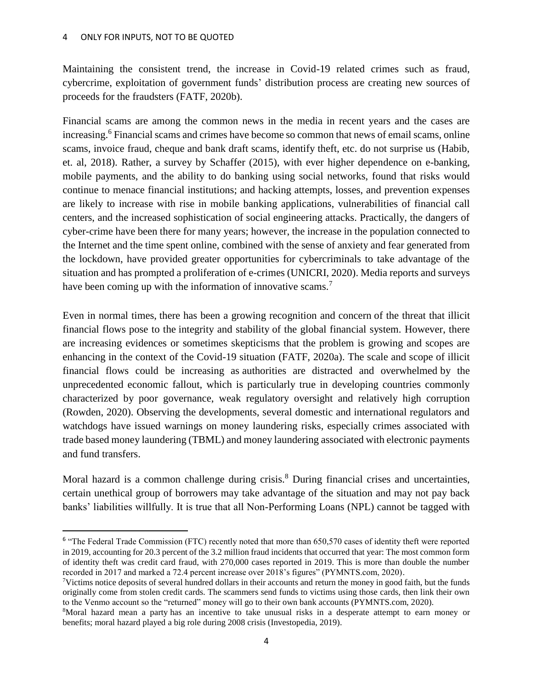l

Maintaining the consistent trend, the increase in Covid-19 related crimes such as fraud, cybercrime, exploitation of government funds' distribution process are creating new sources of proceeds for the fraudsters (FATF, 2020b).

Financial scams are among the common news in the media in recent years and the cases are increasing.<sup>6</sup> Financial scams and crimes have become so common that news of email scams, online scams, invoice fraud, cheque and bank draft scams, identify theft, etc. do not surprise us (Habib, et. al, 2018). Rather, a survey by Schaffer (2015), with ever higher dependence on e-banking, mobile payments, and the ability to do banking using social networks, found that risks would continue to menace financial institutions; and hacking attempts, losses, and prevention expenses are likely to increase with rise in mobile banking applications, vulnerabilities of financial call centers, and the increased sophistication of social engineering attacks. Practically, the dangers of cyber-crime have been there for many years; however, the increase in the population connected to the Internet and the time spent online, combined with the sense of anxiety and fear generated from the lockdown, have provided greater opportunities for cybercriminals to take advantage of the situation and has prompted a proliferation of e-crimes (UNICRI, 2020). Media reports and surveys have been coming up with the information of innovative scams.<sup>7</sup>

Even in normal times, there has been a growing recognition and concern of the threat that illicit financial flows pose to the integrity and stability of the global financial system. However, there are increasing evidences or sometimes skepticisms that the problem is growing and scopes are enhancing in the context of the Covid-19 situation (FATF, 2020a). The scale and scope of illicit financial flows could be increasing as authorities are distracted and overwhelmed by the unprecedented economic fallout, which is particularly true in developing countries commonly characterized by poor governance, weak regulatory oversight and relatively high corruption (Rowden, 2020). Observing the developments, several domestic and international regulators and watchdogs have issued warnings on money laundering risks, especially crimes associated with trade based money laundering (TBML) and money laundering associated with electronic payments and fund transfers.

Moral hazard is a common challenge during crisis.<sup>8</sup> During financial crises and uncertainties, certain unethical group of borrowers may take advantage of the situation and may not pay back banks' liabilities willfully. It is true that all Non-Performing Loans (NPL) cannot be tagged with

<sup>&</sup>lt;sup>6</sup> "The Federal Trade Commission (FTC) recently noted that more than 650,570 cases of identity theft were reported in 2019, accounting for 20.3 percent of the 3.2 million fraud incidents that occurred that year: The most common form of identity theft was credit card fraud, with 270,000 cases reported in 2019. This is more than double the number recorded in 2017 and marked a 72.4 percent increase over 2018's figures" (PYMNTS.com, 2020).

 $\gamma$ Victims notice deposits of several hundred dollars in their accounts and return the money in good faith, but the funds originally come from stolen credit cards. The scammers send funds to victims using those cards, then link their own to the Venmo account so the "returned" money will go to their own bank accounts (PYMNTS.com, 2020).

<sup>8</sup>Moral hazard mean a party has an incentive to take unusual risks in a desperate attempt to earn money or benefits; moral hazard played a big role during 2008 crisis (Investopedia, 2019).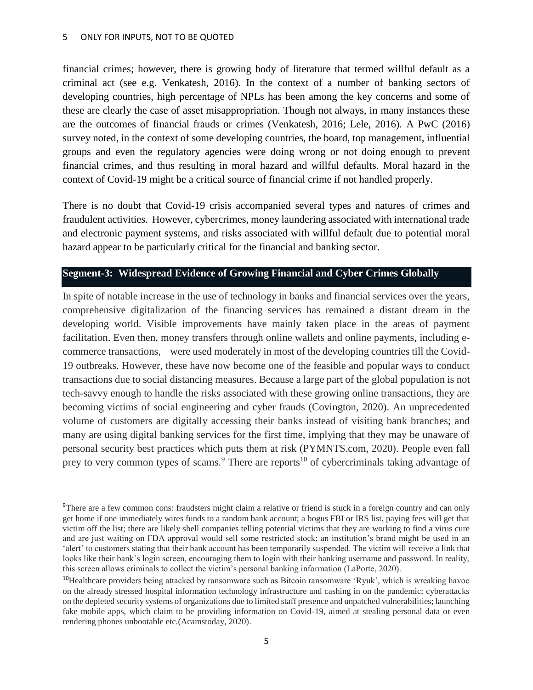financial crimes; however, there is growing body of literature that termed willful default as a criminal act (see e.g. Venkatesh, 2016). In the context of a number of banking sectors of developing countries, high percentage of NPLs has been among the key concerns and some of these are clearly the case of asset misappropriation. Though not always, in many instances these are the outcomes of financial frauds or crimes (Venkatesh, 2016; Lele, 2016). A PwC (2016) survey noted, in the context of some developing countries, the board, top management, influential groups and even the regulatory agencies were doing wrong or not doing enough to prevent financial crimes, and thus resulting in moral hazard and willful defaults. Moral hazard in the context of Covid-19 might be a critical source of financial crime if not handled properly.

There is no doubt that Covid-19 crisis accompanied several types and natures of crimes and fraudulent activities. However, cybercrimes, money laundering associated with international trade and electronic payment systems, and risks associated with willful default due to potential moral hazard appear to be particularly critical for the financial and banking sector.

### **Segment-3: Widespread Evidence of Growing Financial and Cyber Crimes Globally**

In spite of notable increase in the use of technology in banks and financial services over the years, comprehensive digitalization of the financing services has remained a distant dream in the developing world. Visible improvements have mainly taken place in the areas of payment facilitation. Even then, money transfers through online wallets and online payments, including ecommerce transactions, were used moderately in most of the developing countries till the Covid-19 outbreaks. However, these have now become one of the feasible and popular ways to conduct transactions due to social distancing measures. Because a large part of the global population is not tech-savvy enough to handle the risks associated with these growing online transactions, they are becoming victims of social engineering and cyber frauds (Covington, 2020). An unprecedented volume of customers are digitally accessing their banks instead of visiting bank branches; and many are using digital banking services for the first time, implying that they may be unaware of personal security best practices which puts them at risk (PYMNTS.com, 2020). People even fall prey to very common types of scams.<sup>9</sup> There are reports<sup>10</sup> of cybercriminals taking advantage of

<sup>&</sup>lt;sup>9</sup>There are a few common cons: fraudsters might claim a relative or friend is stuck in a foreign country and can only get home if one immediately wires funds to a random bank account; a bogus FBI or IRS list, paying fees will get that victim off the list; there are likely shell companies telling potential victims that they are working to find a virus cure and are just waiting on FDA approval would sell some restricted stock; an institution's brand might be used in an 'alert' to customers stating that their bank account has been temporarily suspended. The victim will receive a link that looks like their bank's login screen, encouraging them to login with their banking username and password. In reality, this screen allows criminals to collect the victim's personal banking information (LaPorte, 2020).

<sup>10</sup>Healthcare providers being attacked by ransomware such as Bitcoin ransomware 'Ryuk', which is wreaking havoc on the already stressed hospital information technology infrastructure and cashing in on the pandemic; cyberattacks on the depleted security systems of organizations due to limited staff presence and unpatched vulnerabilities; launching fake mobile apps, which claim to be providing information on Covid-19, aimed at stealing personal data or even rendering phones unbootable etc.(Acamstoday, 2020).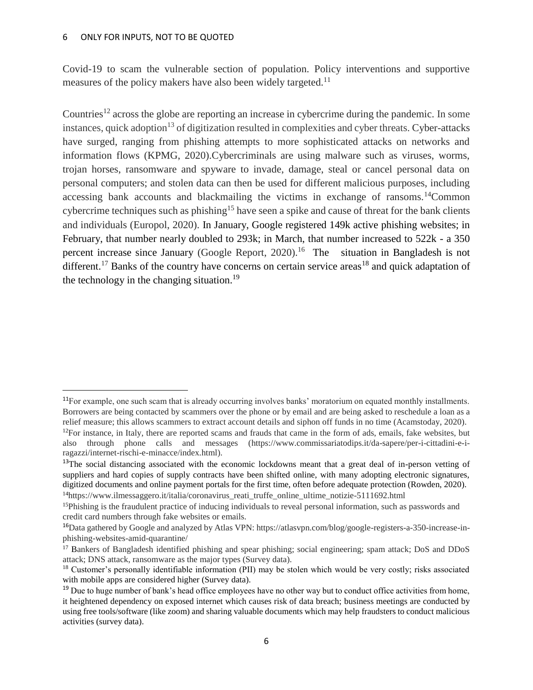#### 6 ONLY FOR INPUTS, NOT TO BE QUOTED

 $\overline{\phantom{a}}$ 

Covid-19 to scam the vulnerable section of population. Policy interventions and supportive measures of the policy makers have also been widely targeted.<sup>11</sup>

Countries<sup>12</sup> across the globe are reporting an increase in cybercrime during the pandemic. In some instances, quick adoption<sup>13</sup> of digitization resulted in complexities and cyber threats. Cyber-attacks have surged, ranging from phishing attempts to more sophisticated attacks on networks and information flows (KPMG, 2020).Cybercriminals are using malware such as viruses, worms, trojan horses, ransomware and spyware to invade, damage, steal or cancel personal data on personal computers; and stolen data can then be used for different malicious purposes, including accessing bank accounts and blackmailing the victims in exchange of ransoms.<sup>14</sup>Common cybercrime techniques such as phishing<sup>15</sup> have seen a spike and cause of threat for the bank clients and individuals (Europol, 2020). In January, Google registered 149k active phishing websites; in February, that number nearly doubled to 293k; in March, that number increased to 522k - a 350 percent increase since January (Google Report, 2020).<sup>16</sup> The situation in Bangladesh is not different.<sup>17</sup> Banks of the country have concerns on certain service areas<sup>18</sup> and quick adaptation of the technology in the changing situation.<sup>19</sup>

<sup>14</sup>https://www.ilmessaggero.it/italia/coronavirus reati\_truffe\_online\_ultime\_notizie-5111692.html

<sup>&</sup>lt;sup>11</sup>For example, one such scam that is already occurring involves banks' moratorium on equated monthly installments. Borrowers are being contacted by scammers over the phone or by email and are being asked to reschedule a loan as a relief measure; this allows scammers to extract account details and siphon off funds in no time (Acamstoday, 2020).  $12$ For instance, in Italy, there are reported scams and frauds that came in the form of ads, emails, fake websites, but also through phone calls and messages (https://www.commissariatodips.it/da-sapere/per-i-cittadini-e-iragazzi/internet-rischi-e-minacce/index.html).

<sup>&</sup>lt;sup>13</sup>The social distancing associated with the economic lockdowns meant that a great deal of in-person vetting of suppliers and hard copies of supply contracts have been shifted online, with many adopting electronic signatures, digitized documents and online payment portals for the first time, often before adequate protection (Rowden, 2020).

<sup>&</sup>lt;sup>15</sup>Phishing is the fraudulent practice of inducing individuals to reveal personal information, such as passwords and credit card numbers through fake websites or emails.

<sup>&</sup>lt;sup>16</sup>Data gathered by Google and analyzed by Atlas VPN: https://atlasvpn.com/blog/google-registers-a-350-increase-inphishing-websites-amid-quarantine/

<sup>&</sup>lt;sup>17</sup> Bankers of Bangladesh identified phishing and spear phishing; social engineering; spam attack; DoS and DDoS attack; DNS attack, ransomware as the major types (Survey data).

<sup>&</sup>lt;sup>18</sup> Customer's personally identifiable information (PII) may be stolen which would be very costly; risks associated with mobile apps are considered higher (Survey data).

 $19$  Due to huge number of bank's head office employees have no other way but to conduct office activities from home, it heightened dependency on exposed internet which causes risk of data breach; business meetings are conducted by using free tools/software (like zoom) and sharing valuable documents which may help fraudsters to conduct malicious activities (survey data).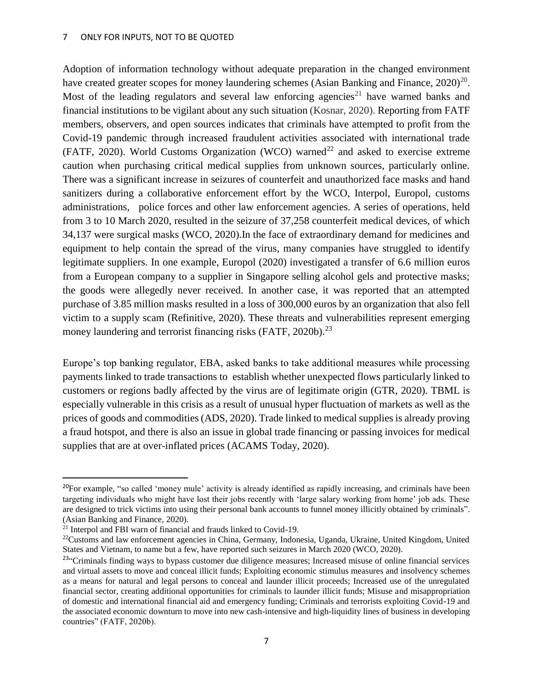#### 7 ONLY FOR INPUTS, NOT TO BE QUOTED

Adoption of information technology without adequate preparation in the changed environment have created greater scopes for money laundering schemes (Asian Banking and Finance,  $2020)^{20}$ . Most of the leading regulators and several law enforcing agencies<sup>21</sup> have warned banks and financial institutions to be vigilant about any such situation (Kosnar, 2020). Reporting from FATF members, observers, and open sources indicates that criminals have attempted to profit from the Covid-19 pandemic through increased fraudulent activities associated with international trade (FATF, 2020). World Customs Organization (WCO) warned<sup>22</sup> and asked to exercise extreme caution when purchasing critical medical supplies from unknown sources, particularly online. There was a significant increase in seizures of counterfeit and unauthorized face masks and hand sanitizers during a collaborative enforcement effort by the WCO, Interpol, Europol, customs administrations, police forces and other law enforcement agencies. A series of operations, held from 3 to 10 March 2020, resulted in the seizure of 37,258 counterfeit medical devices, of which 34,137 were surgical masks (WCO, 2020).In the face of extraordinary demand for medicines and equipment to help contain the spread of the virus, many companies have struggled to identify legitimate suppliers. In one example, Europol (2020) investigated a transfer of 6.6 million euros from a European company to a supplier in Singapore selling alcohol gels and protective masks; the goods were allegedly never received. In another case, it was reported that an attempted purchase of 3.85 million masks resulted in a loss of 300,000 euros by an organization that also fell victim to a supply scam (Refinitive, 2020). These threats and vulnerabilities represent emerging money laundering and terrorist financing risks (FATF, 2020b).<sup>23</sup>

Europe's top banking regulator, EBA, asked banks to take additional measures while processing payments linked to trade transactions to establish whether unexpected flows particularly linked to customers or regions badly affected by the virus are of legitimate origin (GTR, 2020). TBML is especially vulnerable in this crisis as a result of unusual hyper fluctuation of markets as well as the prices of goods and commodities (ADS, 2020). Trade linked to medical supplies is already proving a fraud hotspot, and there is also an issue in global trade financing or passing invoices for medical supplies that are at over-inflated prices (ACAMS Today, 2020).

 $\overline{\phantom{a}}$ 

<sup>&</sup>lt;sup>20</sup>For example, "so called 'money mule' activity is already identified as rapidly increasing, and criminals have been targeting individuals who might have lost their jobs recently with 'large salary working from home' job ads. These are designed to trick victims into using their personal bank accounts to funnel money illicitly obtained by criminals". (Asian Banking and Finance, 2020).

<sup>21</sup> Interpol and FBI warn of financial and frauds linked to Covid-19.

<sup>&</sup>lt;sup>22</sup>Customs and law enforcement agencies in China, Germany, Indonesia, Uganda, Ukraine, United Kingdom, United States and Vietnam, to name but a few, have reported such seizures in March 2020 (WCO, 2020).

<sup>&</sup>lt;sup>23</sup>"Criminals finding ways to bypass customer due diligence measures; Increased misuse of online financial services and virtual assets to move and conceal illicit funds; Exploiting economic stimulus measures and insolvency schemes as a means for natural and legal persons to conceal and launder illicit proceeds; Increased use of the unregulated financial sector, creating additional opportunities for criminals to launder illicit funds; Misuse and misappropriation of domestic and international financial aid and emergency funding; Criminals and terrorists exploiting Covid-19 and the associated economic downturn to move into new cash-intensive and high-liquidity lines of business in developing countries" (FATF, 2020b).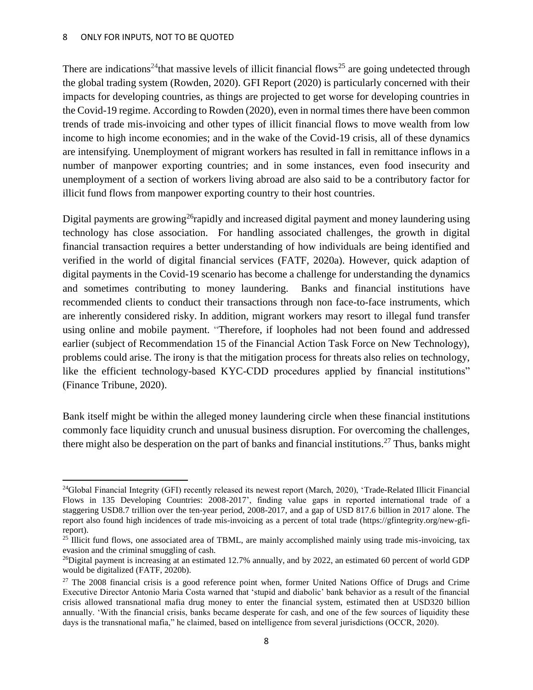There are indications<sup>24</sup>that massive levels of illicit financial flows<sup>25</sup> are going undetected through the global trading system (Rowden, 2020). GFI Report (2020) is particularly concerned with their impacts for developing countries, as things are projected to get worse for developing countries in the Covid-19 regime. According to Rowden (2020), even in normal times there have been common trends of trade mis-invoicing and other types of illicit financial flows to move wealth from low income to high income economies; and in the wake of the Covid-19 crisis, all of these dynamics are intensifying. Unemployment of migrant workers has resulted in fall in remittance inflows in a number of manpower exporting countries; and in some instances, even food insecurity and unemployment of a section of workers living abroad are also said to be a contributory factor for illicit fund flows from manpower exporting country to their host countries.

Digital payments are growing<sup>26</sup>rapidly and increased digital payment and money laundering using technology has close association. For handling associated challenges, the growth in digital financial transaction requires a better understanding of how individuals are being identified and verified in the world of digital financial services (FATF, 2020a). However, quick adaption of digital payments in the Covid-19 scenario has become a challenge for understanding the dynamics and sometimes contributing to money laundering. Banks and financial institutions have recommended clients to conduct their transactions through non face-to-face instruments, which are inherently considered risky. In addition, migrant workers may resort to illegal fund transfer using online and mobile payment. "Therefore, if loopholes had not been found and addressed earlier (subject of Recommendation 15 of the Financial Action Task Force on New Technology), problems could arise. The irony is that the mitigation process for threats also relies on technology, like the efficient technology-based KYC-CDD procedures applied by financial institutions" (Finance Tribune, 2020).

Bank itself might be within the alleged money laundering circle when these financial institutions commonly face liquidity crunch and unusual business disruption. For overcoming the challenges, there might also be desperation on the part of banks and financial institutions.<sup>27</sup> Thus, banks might

 $^{24}$ Global Financial Integrity (GFI) recently released its newest report (March, 2020), 'Trade-Related Illicit Financial Flows in 135 Developing Countries: 2008-2017', finding value gaps in reported international trade of a staggering USD8.7 trillion over the ten-year period, 2008-2017, and a gap of USD 817.6 billion in 2017 alone. The report also found high incidences of trade mis-invoicing as a percent of total trade (https://gfintegrity.org/new-gfireport).

<sup>&</sup>lt;sup>25</sup> Illicit fund flows, one associated area of TBML, are mainly accomplished mainly using trade mis-invoicing, tax evasion and the criminal smuggling of cash.

<sup>&</sup>lt;sup>26</sup>Digital payment is increasing at an estimated 12.7% annually, and by 2022, an estimated 60 percent of world GDP would be digitalized (FATF, 2020b).

<sup>&</sup>lt;sup>27</sup> The 2008 financial crisis is a good reference point when, former United Nations Office of Drugs and Crime Executive Director Antonio Maria Costa warned that 'stupid and diabolic' bank behavior as a result of the financial crisis allowed transnational mafia drug money to enter the financial system, estimated then at USD320 billion annually. 'With the financial crisis, banks became desperate for cash, and one of the few sources of liquidity these days is the transnational mafia," he claimed, based on intelligence from several jurisdictions (OCCR, 2020).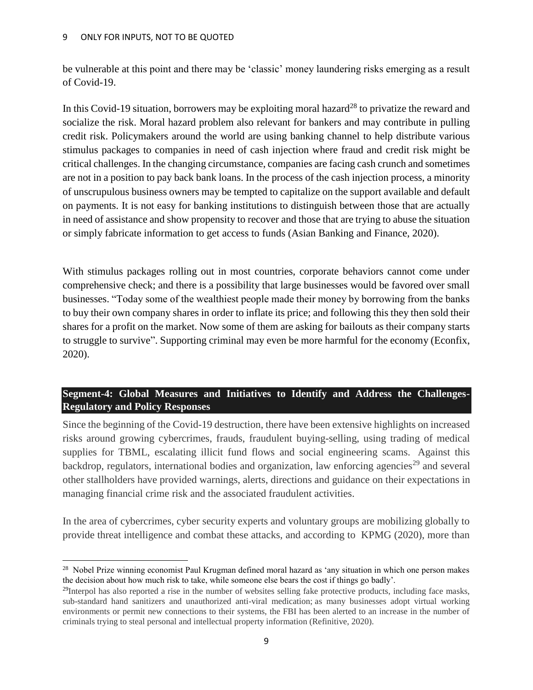be vulnerable at this point and there may be 'classic' money laundering risks emerging as a result of Covid-19.

In this Covid-19 situation, borrowers may be exploiting moral hazard<sup>28</sup> to privatize the reward and socialize the risk. Moral hazard problem also relevant for bankers and may contribute in pulling credit risk. Policymakers around the world are using banking channel to help distribute various stimulus packages to companies in need of cash injection where fraud and credit risk might be critical challenges. In the changing circumstance, companies are facing cash crunch and sometimes are not in a position to pay back bank loans. In the process of the cash injection process, a minority of unscrupulous business owners may be tempted to capitalize on the support available and default on payments. It is not easy for banking institutions to distinguish between those that are actually in need of assistance and show propensity to recover and those that are trying to abuse the situation or simply fabricate information to get access to funds (Asian Banking and Finance, 2020).

With stimulus packages rolling out in most countries, corporate behaviors cannot come under comprehensive check; and there is a possibility that large businesses would be favored over small businesses. "Today some of the wealthiest people made their money by borrowing from the banks to buy their own company shares in order to inflate its price; and following this they then sold their shares for a profit on the market. Now some of them are asking for bailouts as their company starts to struggle to survive". Supporting criminal may even be more harmful for the economy (Econfix, 2020).

## **Segment-4: Global Measures and Initiatives to Identify and Address the Challenges-Regulatory and Policy Responses**

Since the beginning of the Covid-19 destruction, there have been extensive highlights on increased risks around growing cybercrimes, frauds, fraudulent buying-selling, using trading of medical supplies for TBML, escalating illicit fund flows and social engineering scams. Against this backdrop, regulators, international bodies and organization, law enforcing agencies<sup>29</sup> and several other stallholders have provided warnings, alerts, directions and guidance on their expectations in managing financial crime risk and the associated fraudulent activities.

In the area of cybercrimes, cyber security experts and voluntary groups are mobilizing globally to provide threat intelligence and combat these attacks, and according to KPMG (2020), more than

 $\overline{a}$ <sup>28</sup> Nobel Prize winning economist Paul Krugman defined moral hazard as 'any situation in which one person makes the decision about how much risk to take, while someone else bears the cost if things go badly'.

 $^{29}$ Interpol has also reported a rise in the number of websites selling fake protective products, including face masks, sub-standard hand sanitizers and unauthorized anti-viral medication; as many businesses adopt virtual working environments or permit new connections to their systems, the FBI has been alerted to an increase in the number of criminals trying to steal personal and intellectual property information (Refinitive, 2020).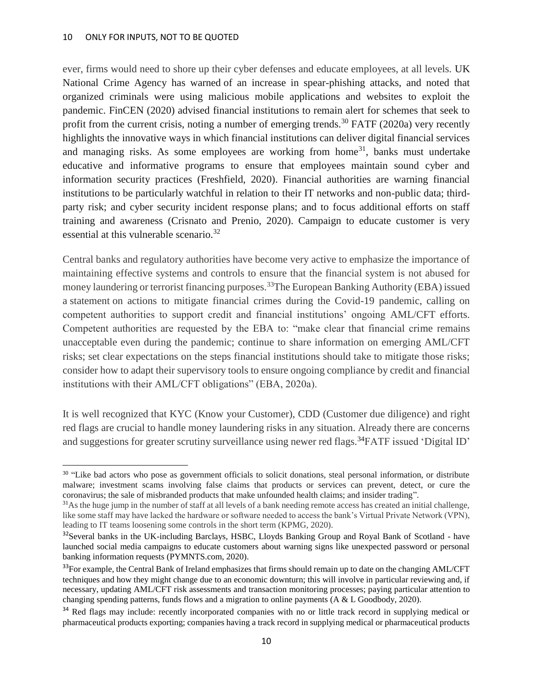ever, firms would need to shore up their cyber defenses and educate employees, at all levels. UK National Crime Agency has warned of an increase in spear-phishing attacks, and noted that organized criminals were using malicious mobile applications and websites to exploit the pandemic. FinCEN (2020) advised financial institutions to remain alert for schemes that seek to profit from the current crisis, noting a number of emerging trends.<sup>30</sup> FATF (2020a) very recently highlights the innovative ways in which financial institutions can deliver digital financial services and managing risks. As some employees are working from home<sup>31</sup>, banks must undertake educative and informative programs to ensure that employees maintain sound cyber and information security practices (Freshfield, 2020). Financial authorities are warning financial institutions to be particularly watchful in relation to their IT networks and non-public data; thirdparty risk; and cyber security incident response plans; and to focus additional efforts on staff training and awareness (Crisnato and Prenio, 2020). Campaign to educate customer is very essential at this vulnerable scenario.<sup>32</sup>

Central banks and regulatory authorities have become very active to emphasize the importance of maintaining effective systems and controls to ensure that the financial system is not abused for money laundering or terrorist financing purposes.<sup>33</sup>The European Banking Authority (EBA) issued a statement on actions to mitigate financial crimes during the Covid-19 pandemic, calling on competent authorities to support credit and financial institutions' ongoing AML/CFT efforts. Competent authorities are requested by the EBA to: "make clear that financial crime remains unacceptable even during the pandemic; continue to share information on emerging AML/CFT risks; set clear expectations on the steps financial institutions should take to mitigate those risks; consider how to adapt their supervisory tools to ensure ongoing compliance by credit and financial institutions with their AML/CFT obligations" (EBA, 2020a).

It is well recognized that KYC (Know your Customer), CDD (Customer due diligence) and right red flags are crucial to handle money laundering risks in any situation. Already there are concerns and suggestions for greater scrutiny surveillance using newer red flags.<sup>34</sup>FATF issued 'Digital ID'

 $\overline{\phantom{a}}$ <sup>30</sup> "Like bad actors who pose as government officials to solicit donations, steal personal information, or distribute malware; investment scams involving false claims that products or services can prevent, detect, or cure the coronavirus; the sale of misbranded products that make unfounded health claims; and insider trading".

 $31$ As the huge jump in the number of staff at all levels of a bank needing remote access has created an initial challenge, like some staff may have lacked the hardware or software needed to access the bank's Virtual Private Network (VPN), leading to IT teams loosening some controls in the short term (KPMG, 2020).

<sup>&</sup>lt;sup>32</sup>Several banks in the UK-including Barclays, HSBC, Lloyds Banking Group and Royal Bank of Scotland - have launched social media campaigns to educate customers about warning signs like unexpected password or personal banking information requests (PYMNTS.com, 2020).

<sup>&</sup>lt;sup>33</sup>For example, the Central Bank of Ireland emphasizes that firms should remain up to date on the changing AML/CFT techniques and how they might change due to an economic downturn; this will involve in particular reviewing and, if necessary, updating AML/CFT risk assessments and transaction monitoring processes; paying particular attention to changing spending patterns, funds flows and a migration to online payments (A & L Goodbody, 2020).

<sup>&</sup>lt;sup>34</sup> Red flags may include: recently incorporated companies with no or little track record in supplying medical or pharmaceutical products exporting; companies having a track record in supplying medical or pharmaceutical products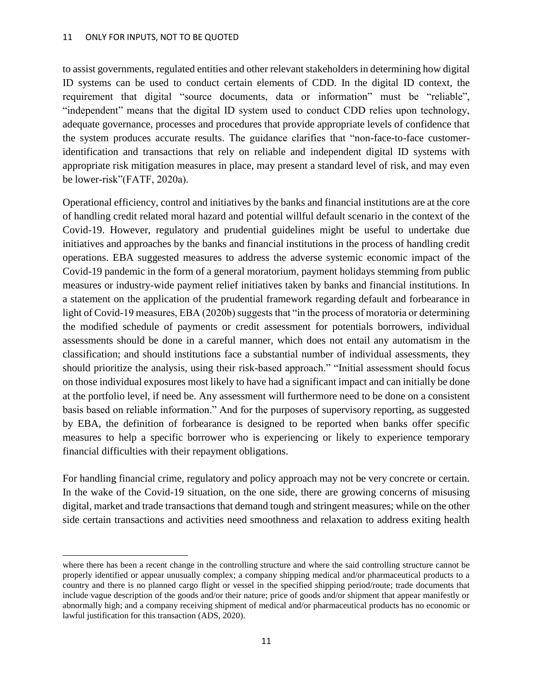to assist governments, regulated entities and other relevant stakeholders in determining how digital ID systems can be used to conduct certain elements of CDD. In the digital ID context, the requirement that digital "source documents, data or information" must be "reliable", "independent" means that the digital ID system used to conduct CDD relies upon technology, adequate governance, processes and procedures that provide appropriate levels of confidence that the system produces accurate results. The guidance clarifies that "non-face-to-face customeridentification and transactions that rely on reliable and independent digital ID systems with appropriate risk mitigation measures in place, may present a standard level of risk, and may even be lower-risk"(FATF, 2020a).

Operational efficiency, control and initiatives by the banks and financial institutions are at the core of handling credit related moral hazard and potential willful default scenario in the context of the Covid-19. However, regulatory and prudential guidelines might be useful to undertake due initiatives and approaches by the banks and financial institutions in the process of handling credit operations. EBA suggested measures to address the adverse systemic economic impact of the Covid-19 pandemic in the form of a general moratorium, payment holidays stemming from public measures or industry-wide payment relief initiatives taken by banks and financial institutions. In a statement on the application of the prudential framework regarding default and forbearance in light of Covid-19 measures, EBA (2020b) suggests that "in the process of moratoria or determining the modified schedule of payments or credit assessment for potentials borrowers, individual assessments should be done in a careful manner, which does not entail any automatism in the classification; and should institutions face a substantial number of individual assessments, they should prioritize the analysis, using their risk-based approach." "Initial assessment should focus on those individual exposures most likely to have had a significant impact and can initially be done at the portfolio level, if need be. Any assessment will furthermore need to be done on a consistent basis based on reliable information." And for the purposes of supervisory reporting, as suggested by EBA, the definition of forbearance is designed to be reported when banks offer specific measures to help a specific borrower who is experiencing or likely to experience temporary financial difficulties with their repayment obligations.

For handling financial crime, regulatory and policy approach may not be very concrete or certain. In the wake of the Covid-19 situation, on the one side, there are growing concerns of misusing digital, market and trade transactions that demand tough and stringent measures; while on the other side certain transactions and activities need smoothness and relaxation to address exiting health

where there has been a recent change in the controlling structure and where the said controlling structure cannot be properly identified or appear unusually complex; a company shipping medical and/or pharmaceutical products to a country and there is no planned cargo flight or vessel in the specified shipping period/route; trade documents that include vague description of the goods and/or their nature; price of goods and/or shipment that appear manifestly or abnormally high; and a company receiving shipment of medical and/or pharmaceutical products has no economic or lawful justification for this transaction (ADS, 2020).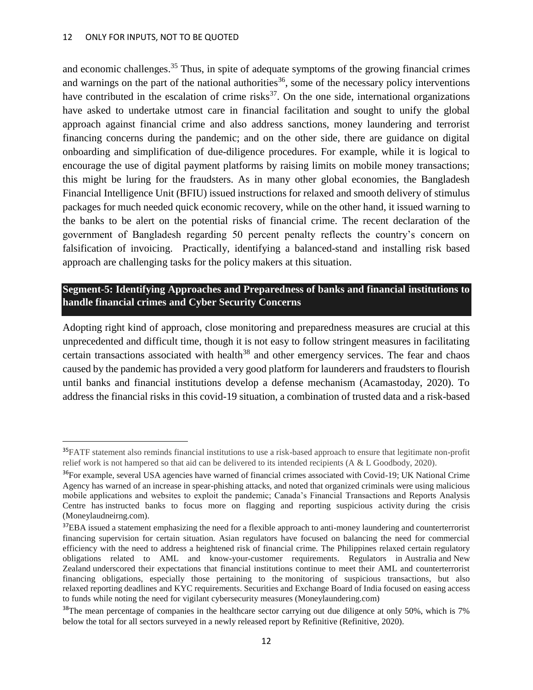and economic challenges.<sup>35</sup> Thus, in spite of adequate symptoms of the growing financial crimes and warnings on the part of the national authorities<sup>36</sup>, some of the necessary policy interventions have contributed in the escalation of crime risks<sup>37</sup>. On the one side, international organizations have asked to undertake utmost care in financial facilitation and sought to unify the global approach against financial crime and also address sanctions, money laundering and terrorist financing concerns during the pandemic; and on the other side, there are guidance on digital onboarding and simplification of due-diligence procedures. For example, while it is logical to encourage the use of digital payment platforms by raising limits on mobile money transactions; this might be luring for the fraudsters. As in many other global economies, the Bangladesh Financial Intelligence Unit (BFIU) issued instructions for relaxed and smooth delivery of stimulus packages for much needed quick economic recovery, while on the other hand, it issued warning to the banks to be alert on the potential risks of financial crime. The recent declaration of the government of Bangladesh regarding 50 percent penalty reflects the country's concern on falsification of invoicing. Practically, identifying a balanced-stand and installing risk based approach are challenging tasks for the policy makers at this situation.

## **Segment-5: Identifying Approaches and Preparedness of banks and financial institutions to handle financial crimes and Cyber Security Concerns**

Adopting right kind of approach, close monitoring and preparedness measures are crucial at this unprecedented and difficult time, though it is not easy to follow stringent measures in facilitating certain transactions associated with health<sup>38</sup> and other emergency services. The fear and chaos caused by the pandemic has provided a very good platform for launderers and fraudsters to flourish until banks and financial institutions develop a defense mechanism (Acamastoday, 2020). To address the financial risks in this covid-19 situation, a combination of trusted data and a risk-based

<sup>&</sup>lt;sup>35</sup>FATF statement also reminds financial institutions to use a risk-based approach to ensure that legitimate non-profit relief work is not hampered so that aid can be delivered to its intended recipients (A & L Goodbody, 2020).

<sup>&</sup>lt;sup>36</sup>For example, several USA agencies have warned of financial crimes associated with Covid-19; UK National Crime Agency has warned of an increase in spear-phishing attacks, and noted that organized criminals were using malicious mobile applications and websites to exploit the pandemic; Canada's Financial Transactions and Reports Analysis Centre has instructed banks to focus more on flagging and reporting suspicious activity during the crisis (Moneylaudneirng.com).

<sup>&</sup>lt;sup>37</sup>EBA issued a statement emphasizing the need for a flexible approach to anti-money laundering and counterterrorist financing supervision for certain situation. Asian regulators have focused on balancing the need for commercial efficiency with the need to address a heightened risk of financial crime. The Philippines relaxed certain regulatory obligations related to AML and know-your-customer requirements. Regulators in Australia and New Zealand underscored their expectations that financial institutions continue to meet their AML and counterterrorist financing obligations, especially those pertaining to the monitoring of suspicious transactions, but also relaxed reporting deadlines and KYC requirements. Securities and Exchange Board of India focused on easing access to funds while noting the need for vigilant cybersecurity measures (Moneylaundering.com)

<sup>&</sup>lt;sup>38</sup>The mean percentage of companies in the healthcare sector carrying out due diligence at only 50%, which is 7% below the total for all sectors surveyed in a newly released report by Refinitive (Refinitive, 2020).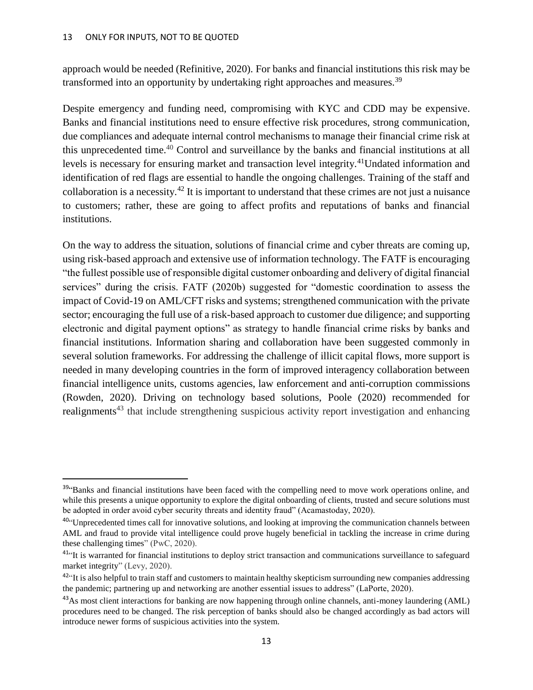approach would be needed (Refinitive, 2020). For banks and financial institutions this risk may be transformed into an opportunity by undertaking right approaches and measures.<sup>39</sup>

Despite emergency and funding need, compromising with KYC and CDD may be expensive. Banks and financial institutions need to ensure effective risk procedures, strong communication, due compliances and adequate internal control mechanisms to manage their financial crime risk at this unprecedented time.<sup>40</sup> Control and surveillance by the banks and financial institutions at all levels is necessary for ensuring market and transaction level integrity.<sup>41</sup>Undated information and identification of red flags are essential to handle the ongoing challenges. Training of the staff and collaboration is a necessity.<sup>42</sup> It is important to understand that these crimes are not just a nuisance to customers; rather, these are going to affect profits and reputations of banks and financial institutions.

On the way to address the situation, solutions of financial crime and cyber threats are coming up, using risk-based approach and extensive use of information technology. The FATF is encouraging "the fullest possible use of responsible digital customer onboarding and delivery of digital financial services" during the crisis. FATF (2020b) suggested for "domestic coordination to assess the impact of Covid-19 on AML/CFT risks and systems; strengthened communication with the private sector; encouraging the full use of a risk-based approach to customer due diligence; and supporting electronic and digital payment options" as strategy to handle financial crime risks by banks and financial institutions. Information sharing and collaboration have been suggested commonly in several solution frameworks. For addressing the challenge of illicit capital flows, more support is needed in many developing countries in the form of improved interagency collaboration between financial intelligence units, customs agencies, law enforcement and anti-corruption commissions (Rowden, 2020). Driving on technology based solutions, Poole (2020) recommended for realignments<sup>43</sup> that include strengthening suspicious activity report investigation and enhancing

<sup>&</sup>lt;sup>39</sup>"Banks and financial institutions have been faced with the compelling need to move work operations online, and while this presents a unique opportunity to explore the digital onboarding of clients, trusted and secure solutions must be adopted in order avoid cyber security threats and identity fraud" (Acamastoday, 2020).

<sup>&</sup>lt;sup>40"</sup>Unprecedented times call for innovative solutions, and looking at improving the communication channels between AML and fraud to provide vital intelligence could prove hugely beneficial in tackling the increase in crime during these challenging times" (PwC, 2020).

<sup>&</sup>lt;sup>41</sup><sup>41</sup> It is warranted for financial institutions to deploy strict transaction and communications surveillance to safeguard market integrity" (Levy, 2020).

 $42^{\circ}$ It is also helpful to train staff and customers to maintain healthy skepticism surrounding new companies addressing the pandemic; partnering up and networking are another essential issues to address" (LaPorte, 2020).

<sup>&</sup>lt;sup>43</sup>As most client interactions for banking are now happening through online channels, anti-money laundering (AML) procedures need to be changed. The risk perception of banks should also be changed accordingly as bad actors will introduce newer forms of suspicious activities into the system.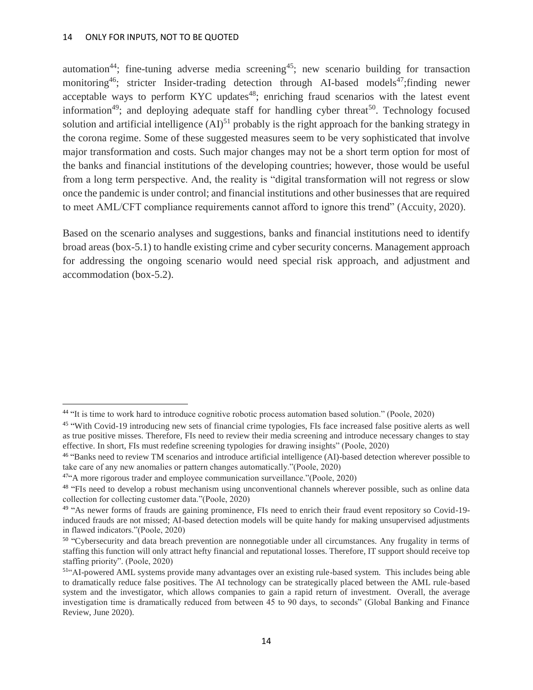automation<sup>44</sup>; fine-tuning adverse media screening<sup>45</sup>; new scenario building for transaction monitoring<sup>46</sup>; stricter Insider-trading detection through AI-based models<sup>47</sup>; finding newer acceptable ways to perform KYC updates<sup>48</sup>; enriching fraud scenarios with the latest event information<sup>49</sup>; and deploying adequate staff for handling cyber threat<sup>50</sup>. Technology focused solution and artificial intelligence  $(AI)^{51}$  probably is the right approach for the banking strategy in the corona regime. Some of these suggested measures seem to be very sophisticated that involve major transformation and costs. Such major changes may not be a short term option for most of the banks and financial institutions of the developing countries; however, those would be useful from a long term perspective. And, the reality is "digital transformation will not regress or slow once the pandemic is under control; and financial institutions and other businesses that are required to meet AML/CFT compliance requirements cannot afford to ignore this trend" (Accuity, 2020).

Based on the scenario analyses and suggestions, banks and financial institutions need to identify broad areas (box-5.1) to handle existing crime and cyber security concerns. Management approach for addressing the ongoing scenario would need special risk approach, and adjustment and accommodation (box-5.2).

<sup>&</sup>lt;sup>44</sup> "It is time to work hard to introduce cognitive robotic process automation based solution." (Poole, 2020)

<sup>&</sup>lt;sup>45</sup> "With Covid-19 introducing new sets of financial crime typologies, FIs face increased false positive alerts as well as true positive misses. Therefore, FIs need to review their media screening and introduce necessary changes to stay effective. In short, FIs must redefine screening typologies for drawing insights" (Poole, 2020)

<sup>&</sup>lt;sup>46</sup> "Banks need to review TM scenarios and introduce artificial intelligence (AI)-based detection wherever possible to take care of any new anomalies or pattern changes automatically."(Poole, 2020)

<sup>&</sup>lt;sup>47"</sup>A more rigorous trader and employee communication surveillance."(Poole, 2020)

<sup>&</sup>lt;sup>48</sup> "FIs need to develop a robust mechanism using unconventional channels wherever possible, such as online data collection for collecting customer data."(Poole, 2020)

<sup>&</sup>lt;sup>49</sup> "As newer forms of frauds are gaining prominence, FIs need to enrich their fraud event repository so Covid-19induced frauds are not missed; AI-based detection models will be quite handy for making unsupervised adjustments in flawed indicators."(Poole, 2020)

<sup>&</sup>lt;sup>50</sup> "Cybersecurity and data breach prevention are nonnegotiable under all circumstances. Any frugality in terms of staffing this function will only attract hefty financial and reputational losses. Therefore, IT support should receive top staffing priority". (Poole, 2020)

<sup>51</sup>"AI-powered AML systems provide many advantages over an existing rule-based system. This includes being able to dramatically reduce false positives. The AI technology can be strategically placed between the AML rule-based system and the investigator, which allows companies to gain a rapid return of investment. Overall, the average investigation time is dramatically reduced from between 45 to 90 days, to seconds" (Global Banking and Finance Review, June 2020).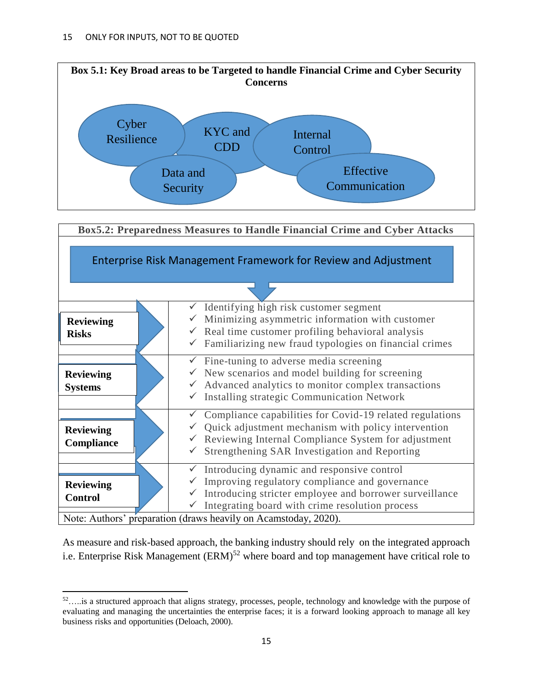l



As measure and risk-based approach, the banking industry should rely on the integrated approach i.e. Enterprise Risk Management (ERM)<sup>52</sup> where board and top management have critical role to

<sup>52</sup>…..is a structured approach that aligns strategy, processes, people, technology and knowledge with the purpose of evaluating and managing the uncertainties the enterprise faces; it is a forward looking approach to manage all key business risks and opportunities (Deloach, 2000).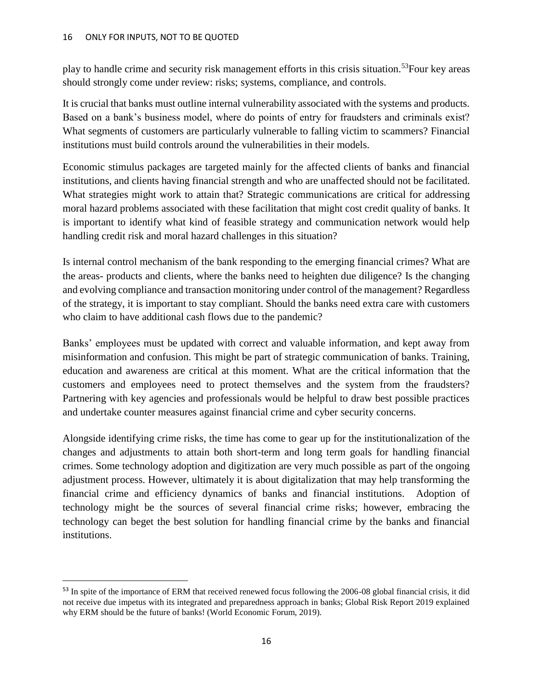play to handle crime and security risk management efforts in this crisis situation.<sup>53</sup>Four key areas should strongly come under review: risks; systems, compliance, and controls.

It is crucial that banks must outline internal vulnerability associated with the systems and products. Based on a bank's business model, where do points of entry for fraudsters and criminals exist? What segments of customers are particularly vulnerable to falling victim to scammers? Financial institutions must build controls around the vulnerabilities in their models.

Economic stimulus packages are targeted mainly for the affected clients of banks and financial institutions, and clients having financial strength and who are unaffected should not be facilitated. What strategies might work to attain that? Strategic communications are critical for addressing moral hazard problems associated with these facilitation that might cost credit quality of banks. It is important to identify what kind of feasible strategy and communication network would help handling credit risk and moral hazard challenges in this situation?

Is internal control mechanism of the bank responding to the emerging financial crimes? What are the areas- products and clients, where the banks need to heighten due diligence? Is the changing and evolving compliance and transaction monitoring under control of the management? Regardless of the strategy, it is important to stay compliant. Should the banks need extra care with customers who claim to have additional cash flows due to the pandemic?

Banks' employees must be updated with correct and valuable information, and kept away from misinformation and confusion. This might be part of strategic communication of banks. Training, education and awareness are critical at this moment. What are the critical information that the customers and employees need to protect themselves and the system from the fraudsters? Partnering with key agencies and professionals would be helpful to draw best possible practices and undertake counter measures against financial crime and cyber security concerns.

Alongside identifying crime risks, the time has come to gear up for the institutionalization of the changes and adjustments to attain both short-term and long term goals for handling financial crimes. Some technology adoption and digitization are very much possible as part of the ongoing adjustment process. However, ultimately it is about digitalization that may help transforming the financial crime and efficiency dynamics of banks and financial institutions. Adoption of technology might be the sources of several financial crime risks; however, embracing the technology can beget the best solution for handling financial crime by the banks and financial institutions.

<sup>&</sup>lt;sup>53</sup> In spite of the importance of ERM that received renewed focus following the 2006-08 global financial crisis, it did not receive due impetus with its integrated and preparedness approach in banks; Global Risk Report 2019 explained why ERM should be the future of banks! (World Economic Forum, 2019).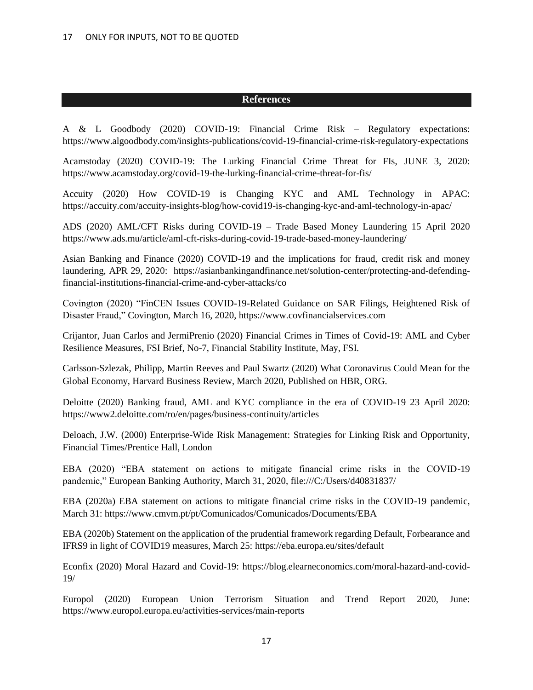#### **References**

A & L Goodbody (2020) COVID-19: Financial Crime Risk – Regulatory expectations: https://www.algoodbody.com/insights-publications/covid-19-financial-crime-risk-regulatory-expectations

Acamstoday (2020) COVID-19: The Lurking Financial Crime Threat for FIs, JUNE 3, 2020: https://www.acamstoday.org/covid-19-the-lurking-financial-crime-threat-for-fis/

Accuity (2020) How COVID-19 is Changing KYC and AML Technology in APAC: https://accuity.com/accuity-insights-blog/how-covid19-is-changing-kyc-and-aml-technology-in-apac/

ADS (2020) AML/CFT Risks during COVID-19 – Trade Based Money Laundering 15 April 2020 https://www.ads.mu/article/aml-cft-risks-during-covid-19-trade-based-money-laundering/

Asian Banking and Finance (2020) COVID-19 and the implications for fraud, credit risk and money laundering, APR 29, 2020: https://asianbankingandfinance.net/solution-center/protecting-and-defendingfinancial-institutions-financial-crime-and-cyber-attacks/co

Covington (2020) "FinCEN Issues COVID-19-Related Guidance on SAR Filings, Heightened Risk of Disaster Fraud," Covington, March 16, 2020, https://www.covfinancialservices.com

Crijantor, Juan Carlos and JermiPrenio (2020) Financial Crimes in Times of Covid-19: AML and Cyber Resilience Measures, FSI Brief, No-7, Financial Stability Institute, May, FSI.

Carlsson-Szlezak, Philipp, Martin Reeves and Paul Swartz (2020) What Coronavirus Could Mean for the Global Economy, Harvard Business Review, March 2020, Published on HBR, ORG.

Deloitte (2020) Banking fraud, AML and KYC compliance in the era of COVID-19 23 April 2020: https://www2.deloitte.com/ro/en/pages/business-continuity/articles

Deloach, J.W. (2000) Enterprise-Wide Risk Management: Strategies for Linking Risk and Opportunity, Financial Times/Prentice Hall, London

EBA (2020) "EBA statement on actions to mitigate financial crime risks in the COVID-19 pandemic," European Banking Authority, March 31, 2020, file:///C:/Users/d40831837/

EBA (2020a) EBA statement on actions to mitigate financial crime risks in the COVID-19 pandemic, March 31: https://www.cmvm.pt/pt/Comunicados/Comunicados/Documents/EBA

EBA (2020b) Statement on the application of the prudential framework regarding Default, Forbearance and IFRS9 in light of COVID19 measures, March 25: https://eba.europa.eu/sites/default

Econfix (2020) Moral Hazard and Covid-19: https://blog.elearneconomics.com/moral-hazard-and-covid-19/

Europol (2020) European Union Terrorism Situation and Trend Report 2020, June: https://www.europol.europa.eu/activities-services/main-reports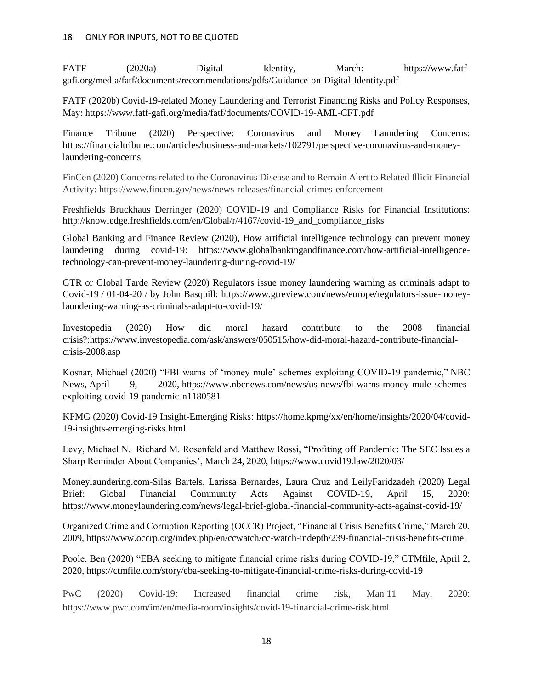FATF (2020a) Digital Identity, March: https://www.fatfgafi.org/media/fatf/documents/recommendations/pdfs/Guidance-on-Digital-Identity.pdf

FATF (2020b) Covid-19-related Money Laundering and Terrorist Financing Risks and Policy Responses, May: https://www.fatf-gafi.org/media/fatf/documents/COVID-19-AML-CFT.pdf

Finance Tribune (2020) Perspective: Coronavirus and Money Laundering Concerns: https://financialtribune.com/articles/business-and-markets/102791/perspective-coronavirus-and-moneylaundering-concerns

FinCen (2020) Concerns related to the Coronavirus Disease and to Remain Alert to Related Illicit Financial Activity: https://www.fincen.gov/news/news-releases/financial-crimes-enforcement

Freshfields Bruckhaus Derringer (2020) COVID-19 and Compliance Risks for Financial Institutions: http://knowledge.freshfields.com/en/Global/r/4167/covid-19\_and\_compliance\_risks

Global Banking and Finance Review (2020), How artificial intelligence technology can prevent money laundering during covid-19: https://www.globalbankingandfinance.com/how-artificial-intelligencetechnology-can-prevent-money-laundering-during-covid-19/

GTR or Global Tarde Review (2020) Regulators issue money laundering warning as criminals adapt to Covid-19 / 01-04-20 / by John Basquill: https://www.gtreview.com/news/europe/regulators-issue-moneylaundering-warning-as-criminals-adapt-to-covid-19/

Investopedia (2020) How did moral hazard contribute to the 2008 financial crisis?:https://www.investopedia.com/ask/answers/050515/how-did-moral-hazard-contribute-financialcrisis-2008.asp

Kosnar, Michael (2020) "FBI warns of 'money mule' schemes exploiting COVID-19 pandemic," NBC News, April 9, 2020, https://www.nbcnews.com/news/us-news/fbi-warns-money-mule-schemesexploiting-covid-19-pandemic-n1180581

KPMG (2020) Covid-19 Insight-Emerging Risks: https://home.kpmg/xx/en/home/insights/2020/04/covid-19-insights-emerging-risks.html

Levy, Michael N. Richard M. Rosenfeld and Matthew Rossi, "Profiting off Pandemic: The SEC Issues a Sharp Reminder About Companies', March 24, 2020, https://www.covid19.law/2020/03/

Moneylaundering.com-Silas Bartels, Larissa Bernardes, Laura Cruz and LeilyFaridzadeh (2020) Legal Brief: Global Financial Community Acts Against COVID-19, April 15, 2020: https://www.moneylaundering.com/news/legal-brief-global-financial-community-acts-against-covid-19/

Organized Crime and Corruption Reporting (OCCR) Project, "Financial Crisis Benefits Crime," March 20, 2009, https://www.occrp.org/index.php/en/ccwatch/cc-watch-indepth/239-financial-crisis-benefits-crime.

Poole, Ben (2020) "EBA seeking to mitigate financial crime risks during COVID-19," CTMfile, April 2, 2020, https://ctmfile.com/story/eba-seeking-to-mitigate-financial-crime-risks-during-covid-19

PwC (2020) Covid-19: Increased financial crime risk, Man 11 May, 2020: https://www.pwc.com/im/en/media-room/insights/covid-19-financial-crime-risk.html